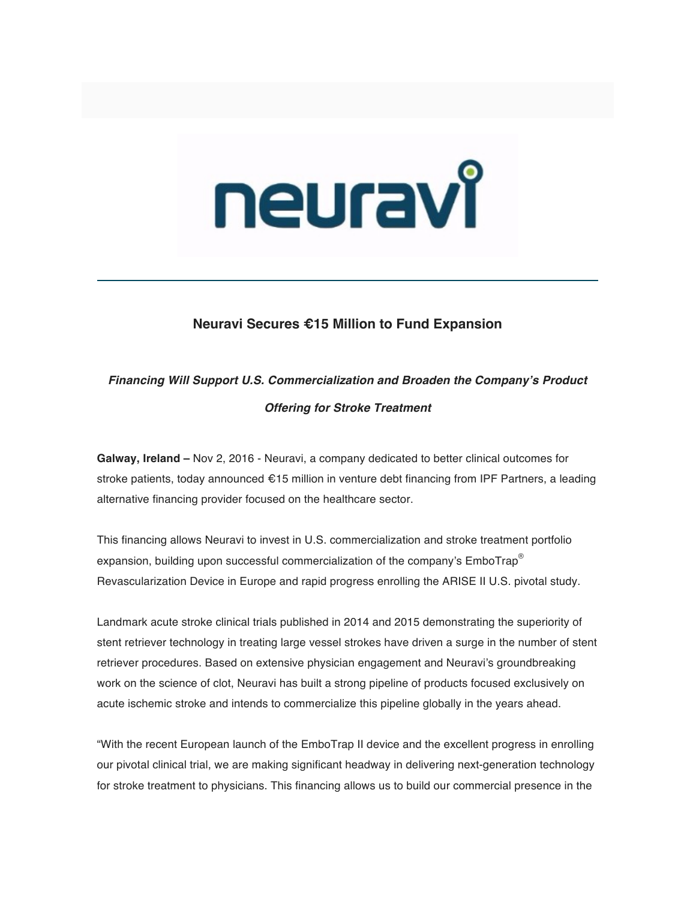# neuravî

## **Neuravi Secures €15 Million to Fund Expansion**

# *Financing Will Support U.S. Commercialization and Broaden the Company's Product Offering for Stroke Treatment*

**Galway, Ireland –** Nov 2, 2016 - Neuravi, a company dedicated to better clinical outcomes for stroke patients, today announced €15 million in venture debt financing from IPF Partners, a leading alternative financing provider focused on the healthcare sector.

This financing allows Neuravi to invest in U.S. commercialization and stroke treatment portfolio expansion, building upon successful commercialization of the company's EmboTrap<sup>®</sup> Revascularization Device in Europe and rapid progress enrolling the ARISE II U.S. pivotal study.

Landmark acute stroke clinical trials published in 2014 and 2015 demonstrating the superiority of stent retriever technology in treating large vessel strokes have driven a surge in the number of stent retriever procedures. Based on extensive physician engagement and Neuravi's groundbreaking work on the science of clot, Neuravi has built a strong pipeline of products focused exclusively on acute ischemic stroke and intends to commercialize this pipeline globally in the years ahead.

"With the recent European launch of the EmboTrap II device and the excellent progress in enrolling our pivotal clinical trial, we are making significant headway in delivering next-generation technology for stroke treatment to physicians. This financing allows us to build our commercial presence in the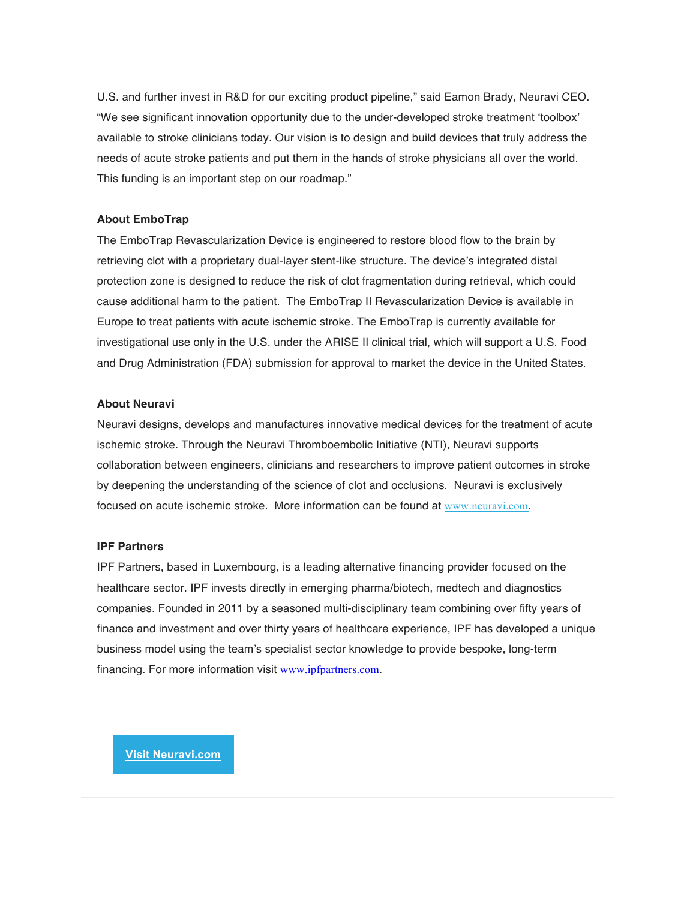U.S. and further invest in R&D for our exciting product pipeline," said Eamon Brady, Neuravi CEO. "We see significant innovation opportunity due to the under-developed stroke treatment 'toolbox' available to stroke clinicians today. Our vision is to design and build devices that truly address the needs of acute stroke patients and put them in the hands of stroke physicians all over the world. This funding is an important step on our roadmap."

### **About EmboTrap**

The EmboTrap Revascularization Device is engineered to restore blood flow to the brain by retrieving clot with a proprietary dual-layer stent-like structure. The device's integrated distal protection zone is designed to reduce the risk of clot fragmentation during retrieval, which could cause additional harm to the patient. The EmboTrap II Revascularization Device is available in Europe to treat patients with acute ischemic stroke. The EmboTrap is currently available for investigational use only in the U.S. under the ARISE II clinical trial, which will support a U.S. Food and Drug Administration (FDA) submission for approval to market the device in the United States.

### **About Neuravi**

Neuravi designs, develops and manufactures innovative medical devices for the treatment of acute ischemic stroke. Through the Neuravi Thromboembolic Initiative (NTI), Neuravi supports collaboration between engineers, clinicians and researchers to improve patient outcomes in stroke by deepening the understanding of the science of clot and occlusions. Neuravi is exclusively focused on acute ischemic stroke. More information can be found at www.neuravi.com.

### **IPF Partners**

IPF Partners, based in Luxembourg, is a leading alternative financing provider focused on the healthcare sector. IPF invests directly in emerging pharma/biotech, medtech and diagnostics companies. Founded in 2011 by a seasoned multi-disciplinary team combining over fifty years of finance and investment and over thirty years of healthcare experience, IPF has developed a unique business model using the team's specialist sector knowledge to provide bespoke, long-term financing. For more information visit www.ipfpartners.com.

**Visit Neuravi.com**